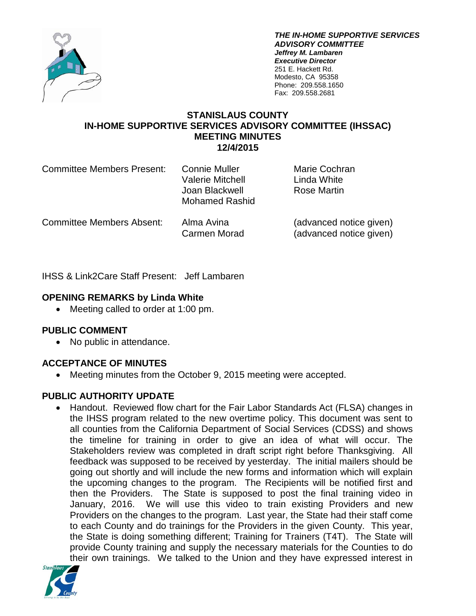

*THE IN-HOME SUPPORTIVE SERVICES ADVISORY COMMITTEE Jeffrey M. Lambaren Executive Director* 251 E. Hackett Rd. Modesto, CA 95358 Phone: 209.558.1650 Fax: 209.558.2681

#### **STANISLAUS COUNTY IN-HOME SUPPORTIVE SERVICES ADVISORY COMMITTEE (IHSSAC) MEETING MINUTES 12/4/2015**

| <b>Committee Members Present:</b> | Connie Muller<br><b>Valerie Mitchell</b><br>Joan Blackwell<br><b>Mohamed Rashid</b> | Marie Cochran<br>Linda White<br>Rose Martin |
|-----------------------------------|-------------------------------------------------------------------------------------|---------------------------------------------|
|                                   |                                                                                     |                                             |

Committee Members Absent: Alma Avina (advanced notice given)

Carmen Morad (advanced notice given)

IHSS & Link2Care Staff Present: Jeff Lambaren

## **OPENING REMARKS by Linda White**

• Meeting called to order at 1:00 pm.

## **PUBLIC COMMENT**

• No public in attendance.

# **ACCEPTANCE OF MINUTES**

• Meeting minutes from the October 9, 2015 meeting were accepted.

## **PUBLIC AUTHORITY UPDATE**

• Handout. Reviewed flow chart for the Fair Labor Standards Act (FLSA) changes in the IHSS program related to the new overtime policy. This document was sent to all counties from the California Department of Social Services (CDSS) and shows the timeline for training in order to give an idea of what will occur. The Stakeholders review was completed in draft script right before Thanksgiving. All feedback was supposed to be received by yesterday. The initial mailers should be going out shortly and will include the new forms and information which will explain the upcoming changes to the program. The Recipients will be notified first and then the Providers. The State is supposed to post the final training video in January, 2016. We will use this video to train existing Providers and new Providers on the changes to the program. Last year, the State had their staff come to each County and do trainings for the Providers in the given County. This year, the State is doing something different; Training for Trainers (T4T). The State will provide County training and supply the necessary materials for the Counties to do their own trainings. We talked to the Union and they have expressed interest in

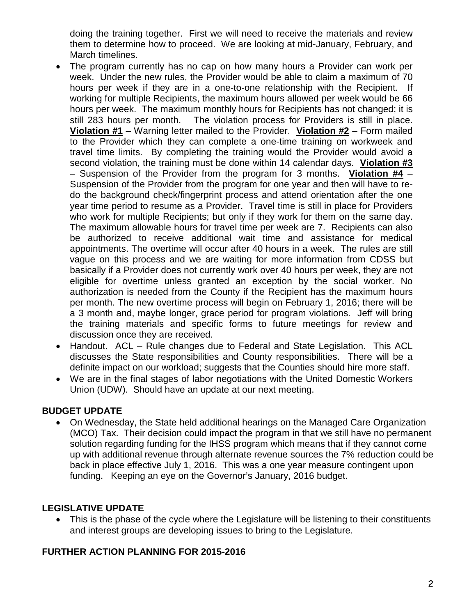doing the training together. First we will need to receive the materials and review them to determine how to proceed. We are looking at mid-January, February, and March timelines.

- The program currently has no cap on how many hours a Provider can work per week. Under the new rules, the Provider would be able to claim a maximum of 70 hours per week if they are in a one-to-one relationship with the Recipient. If working for multiple Recipients, the maximum hours allowed per week would be 66 hours per week. The maximum monthly hours for Recipients has not changed; it is still 283 hours per month. The violation process for Providers is still in place. **Violation #1** – Warning letter mailed to the Provider. **Violation #2** – Form mailed to the Provider which they can complete a one-time training on workweek and travel time limits. By completing the training would the Provider would avoid a second violation, the training must be done within 14 calendar days. **Violation #3** – Suspension of the Provider from the program for 3 months. **Violation #4** – Suspension of the Provider from the program for one year and then will have to redo the background check/fingerprint process and attend orientation after the one year time period to resume as a Provider. Travel time is still in place for Providers who work for multiple Recipients; but only if they work for them on the same day. The maximum allowable hours for travel time per week are 7. Recipients can also be authorized to receive additional wait time and assistance for medical appointments. The overtime will occur after 40 hours in a week. The rules are still vague on this process and we are waiting for more information from CDSS but basically if a Provider does not currently work over 40 hours per week, they are not eligible for overtime unless granted an exception by the social worker. No authorization is needed from the County if the Recipient has the maximum hours per month. The new overtime process will begin on February 1, 2016; there will be a 3 month and, maybe longer, grace period for program violations. Jeff will bring the training materials and specific forms to future meetings for review and discussion once they are received.
- Handout. ACL Rule changes due to Federal and State Legislation. This ACL discusses the State responsibilities and County responsibilities. There will be a definite impact on our workload; suggests that the Counties should hire more staff.
- We are in the final stages of labor negotiations with the United Domestic Workers Union (UDW). Should have an update at our next meeting.

### **BUDGET UPDATE**

• On Wednesday, the State held additional hearings on the Managed Care Organization (MCO) Tax. Their decision could impact the program in that we still have no permanent solution regarding funding for the IHSS program which means that if they cannot come up with additional revenue through alternate revenue sources the 7% reduction could be back in place effective July 1, 2016. This was a one year measure contingent upon funding. Keeping an eye on the Governor's January, 2016 budget.

# **LEGISLATIVE UPDATE**

• This is the phase of the cycle where the Legislature will be listening to their constituents and interest groups are developing issues to bring to the Legislature.

## **FURTHER ACTION PLANNING FOR 2015-2016**